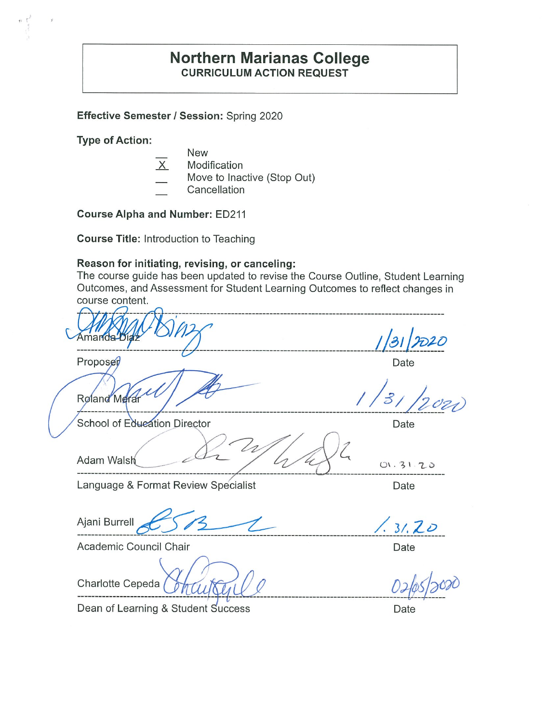## **Northern Marianas College CURRICULUM ACTION REQUEST**

**Effective Semester/ Session:** Spring 2020

**Type of Action:** 

• r

- New
- X Modification
- Move to Inactive (Stop Out)
- **Cancellation**

**Course Alpha and Number:** ED211

**Course Title:** Introduction to Teaching

#### **Reason for initiating, revising, or canceling:**

The course guide has been updated to revise the Course Outline, Student Learning Outcomes, and Assessment for Student Learning Outcomes to reflect changes in course content.

 $\mathcal{L}_{\mathcal{A}}$ Proposer Date ----------------------------------------------- *I /:e* / */2 o~*  Roland Merar School of Edueation Director Date Adam Walsh  $\frac{dx}{y}$  ,  $\frac{dy}{x}$  01.31.20 **-------------------------------------------~-----~0\_\_ \_\_\_\_\_\_\_\_\_\_\_\_\_\_\_\_\_\_\_\_\_\_\_\_\_\_\_\_\_\_ \_**  Language & Format Review Specialist **Canadiation** Date Ajani Burrell **cheap 5 73 12 1 1 1 1 1 1 1 2 D** Academic Council Chair **Date** Date

Charlotte Cepeda

Dean of Learning & Student Success Dean of Learning & Student Success

 $0 - \frac{0}{9}$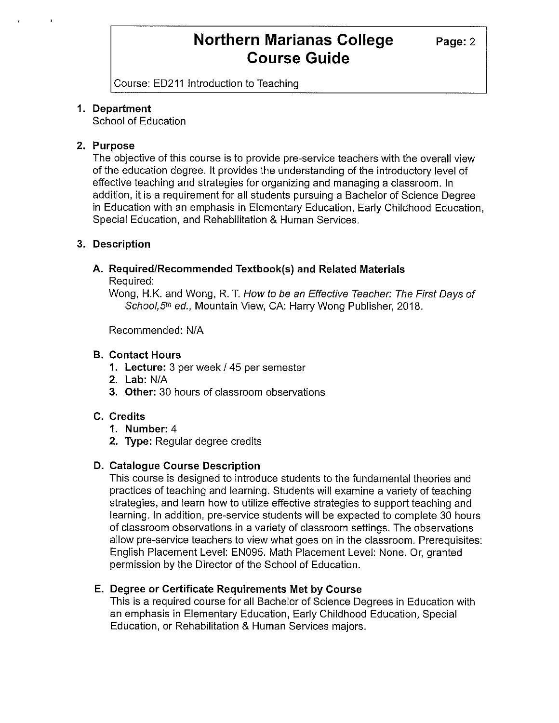Course: ED211 Introduction to Teaching

### **1. Department**

School of Education

### **2. Purpose**

The objective of this course is to provide pre-service teachers with the overall view of the education degree. It provides the understanding of the introductory level of effective teaching and strategies for organizing and managing a classroom. In addition, it is a requirement for all students pursuing a Bachelor of Science Degree in Education with an emphasis in Elementary Education, Early Childhood Education, Special Education, and Rehabilitation & Human Services.

## **3. Description**

## **A. Required/Recommended Textbook(s) and Related Materials**

Required:

Wong, H.K. and Wong, R. T. How to be an Effective Teacher: The First Days of School, 5th ed., Mountain View, CA: Harry Wong Publisher, 2018.

Recommended: N/A

## **B. Contact Hours**

- **1. Lecture:** 3 per week/ 45 per semester
- **2. Lab:** N/A
- **3. Other:** 30 hours of classroom observations

## **C. Credits**

- **1. Number:** 4
- **2. Type:** Regular degree credits

### **D. Catalogue Course Description**

This course is designed to introduce students to the fundamental theories and practices of teaching and learning. Students will examine a variety of teaching strategies, and learn how to utilize effective strategies to support teaching and learning. In addition, pre-service students will be expected to complete 30 hours of classroom observations in a variety of classroom settings. The observations allow pre-service teachers to view what goes on in the classroom. Prerequisites: English Placement Level: EN095. Math Placement Level: None. Or, granted permission by the Director of the School of Education.

### **E. Degree or Certificate Requirements Met by Course**

This is a required course for all Bachelor of Science Degrees in Education with an emphasis in Elementary Education, Early Childhood Education, Special Education, or Rehabilitation & Human Services majors.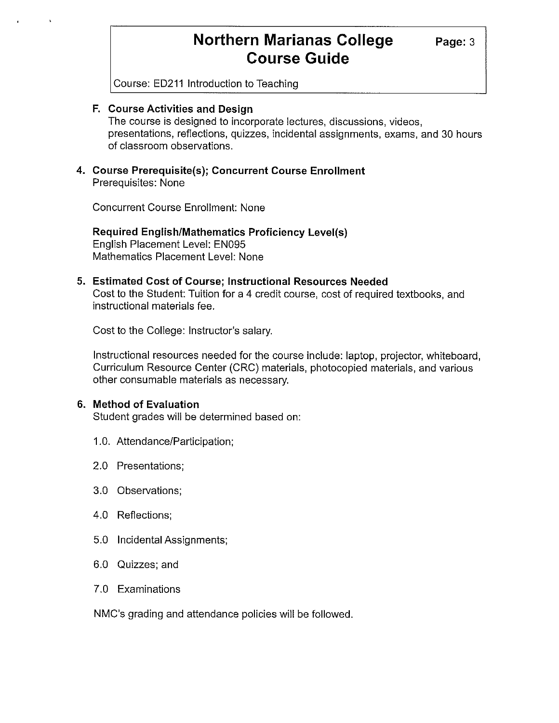**Page:3** 

Course: ED211 Introduction to Teaching

#### **F. Course Activities and Design**

The course is designed to incorporate lectures, discussions, videos, presentations, reflections, quizzes, incidental assignments, exams, and 30 hours of classroom observations.

#### **4. Course Prerequisite(s); Concurrent Course Enrollment**  Prerequisites: None

Concurrent Course Enrollment: None

**Required English/Mathematics Proficiency Level(s)**  English Placement Level: EN095 Mathematics Placement Level: None

#### **5. Estimated Cost of Course; Instructional Resources Needed**

Cost to the Student: Tuition for a 4 credit course, cost of required textbooks, and instructional materials fee.

Cost to the College: Instructor's salary.

Instructional resources needed for the course include: laptop, projector, whiteboard, Curriculum Resource Center (CRC) materials, photocopied materials, and various other consumable materials as necessary.

#### **6. Method of Evaluation**

Student grades will be determined based on:

- 1.0. Attendance/Participation;
- 2.0 Presentations;
- 3.0 Observations;
- 4.0 Reflections;
- 5.0 Incidental Assignments;
- 6.0 Quizzes; and
- 7.0 Examinations

NMC's grading and attendance policies will be followed.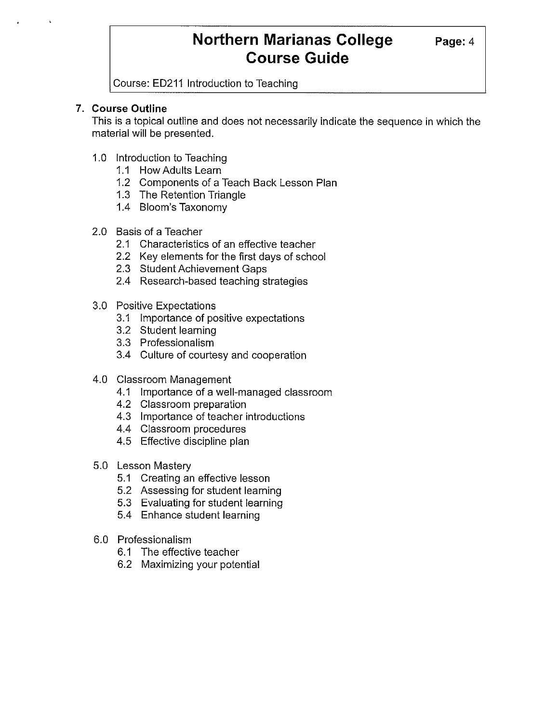Course: ED211 Introduction to Teaching

### **7. Course Outline**

This is a topical outline and does not necessarily indicate the sequence in which the material will be presented.

- 1.0 Introduction to Teaching
	- 1.1 How Adults Learn
	- 1.2 Components of a Teach Back Lesson Plan
	- 1.3 The Retention Triangle
	- 1.4 Bloom's Taxonomy
- 2.0 Basis of a Teacher
	- 2.1 Characteristics of an effective teacher
	- 2.2 Key elements for the first days of school
	- 2.3 Student Achievement Gaps
	- 2.4 Research-based teaching strategies
- 3.0 Positive Expectations
	- 3.1 Importance of positive expectations
	- 3.2 Student learning
	- 3.3 Professionalism
	- 3.4 Culture of courtesy and cooperation
- 4.0 Classroom Management
	- 4.1 Importance of a well-managed classroom
	- 4.2 Classroom preparation
	- 4.3 Importance of teacher introductions
	- 4.4 Classroom procedures
	- 4.5 Effective discipline plan
- 5.0 Lesson Mastery
	- 5.1 Creating an effective lesson
	- 5.2 Assessing for student learning
	- 5.3 Evaluating for student learning
	- 5.4 Enhance student learning
- 6.0 Professionalism
	- 6.1 The effective teacher
	- 6.2 Maximizing your potential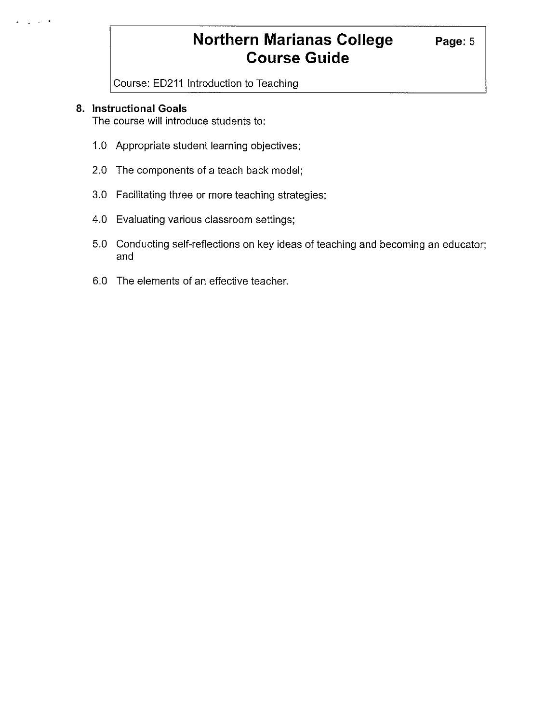Course: ED211 Introduction to Teaching

#### **8. Instructional Goals**

The course will introduce students to:

- 1.0 Appropriate student learning objectives;
- 2.0 The components of a teach back model;
- 3.0 Facilitating three or more teaching strategies;
- 4.0 Evaluating various classroom settings;
- 5.0 Conducting self-reflections on key ideas of teaching and becoming an educator; and
- 6.0 The elements of an effective teacher.